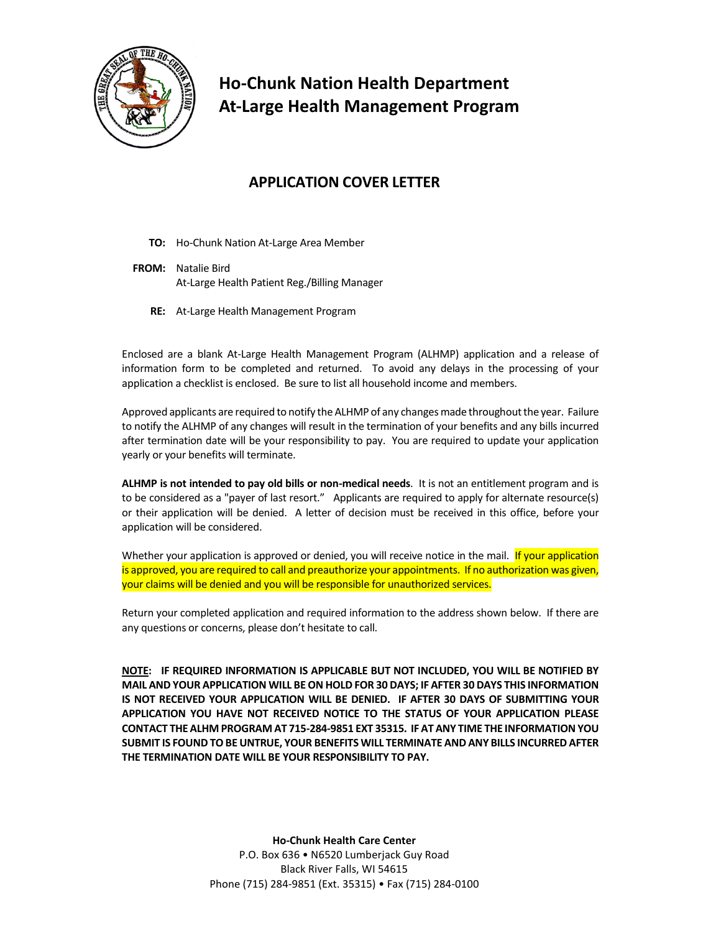

# **Ho-Chunk Nation Health Department At-Large Health Management Program**

## **APPLICATION COVER LETTER**

- **TO:** Ho-Chunk Nation At-Large Area Member
- **FROM:** Natalie Bird At-Large Health Patient Reg./Billing Manager
	- **RE:** At-Large Health Management Program

Enclosed are a blank At-Large Health Management Program (ALHMP) application and a release of information form to be completed and returned. To avoid any delays in the processing of your application a checklist is enclosed. Be sure to list all household income and members.

Approved applicants are required to notify the ALHMP of any changes made throughout the year. Failure to notify the ALHMP of any changes will result in the termination of your benefits and any bills incurred after termination date will be your responsibility to pay. You are required to update your application yearly or your benefits will terminate.

**ALHMP is not intended to pay old bills or non-medical needs**. It is not an entitlement program and is to be considered as a "payer of last resort." Applicants are required to apply for alternate resource(s) or their application will be denied. A letter of decision must be received in this office, before your application will be considered.

Whether your application is approved or denied, you will receive notice in the mail. If your application is approved, you are required to call and preauthorize your appointments. If no authorization was given, your claims will be denied and you will be responsible for unauthorized services.

Return your completed application and required information to the address shown below. If there are any questions or concerns, please don't hesitate to call.

**NOTE: IF REQUIRED INFORMATION IS APPLICABLE BUT NOT INCLUDED, YOU WILL BE NOTIFIED BY MAIL AND YOUR APPLICATION WILL BE ON HOLD FOR 30 DAYS; IF AFTER 30 DAYS THIS INFORMATION IS NOT RECEIVED YOUR APPLICATION WILL BE DENIED. IF AFTER 30 DAYS OF SUBMITTING YOUR APPLICATION YOU HAVE NOT RECEIVED NOTICE TO THE STATUS OF YOUR APPLICATION PLEASE CONTACT THE ALHM PROGRAM AT 715-284-9851 EXT 35315. IF AT ANY TIME THE INFORMATION YOU SUBMIT IS FOUND TO BE UNTRUE, YOUR BENEFITS WILL TERMINATE AND ANY BILLS INCURRED AFTER THE TERMINATION DATE WILL BE YOUR RESPONSIBILITY TO PAY.**

> **Ho-Chunk Health Care Center** P.O. Box 636 • N6520 Lumberjack Guy Road Black River Falls, WI 54615 Phone (715) 284-9851 (Ext. 35315) • Fax (715) 284-0100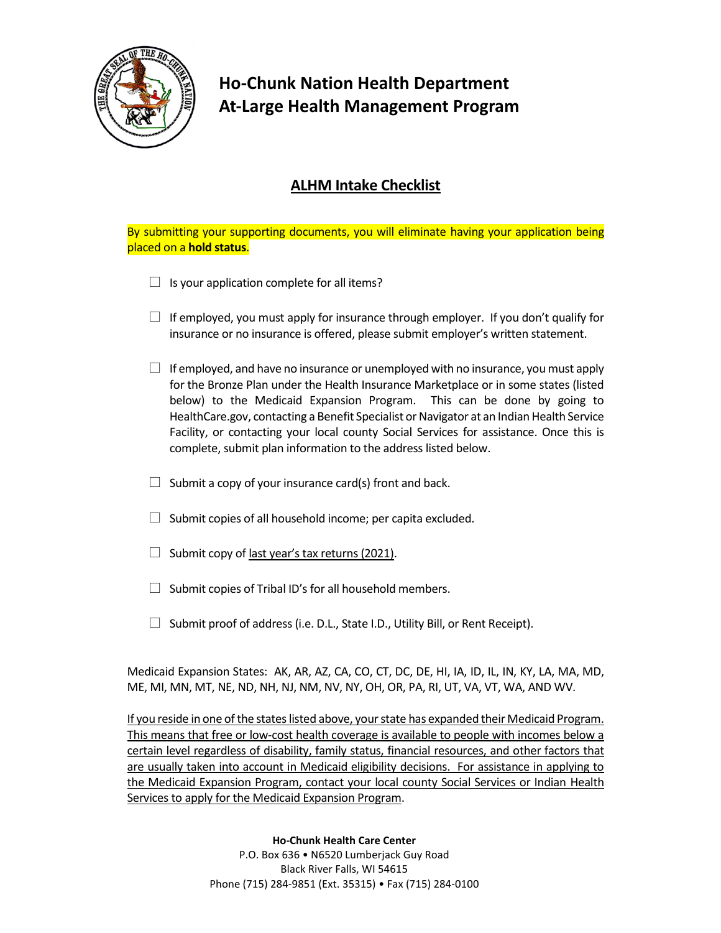

# **Ho-Chunk Nation Health Department At-Large Health Management Program**

## **ALHM Intake Checklist**

By submitting your supporting documents, you will eliminate having your application being placed on a **hold status**.

- $\Box$  Is your application complete for all items?
- $\Box$  If employed, you must apply for insurance through employer. If you don't qualify for insurance or no insurance is offered, please submit employer's written statement.
- $\Box$  If employed, and have no insurance or unemployed with no insurance, you must apply for the Bronze Plan under the Health Insurance Marketplace or in some states (listed below) to the Medicaid Expansion Program. This can be done by going to HealthCare.gov, contacting a Benefit Specialist or Navigator at an Indian Health Service Facility, or contacting your local county Social Services for assistance. Once this is complete, submit plan information to the address listed below.
- $\Box$  Submit a copy of your insurance card(s) front and back.
- $\Box$  Submit copies of all household income; per capita excluded.
- $\Box$  Submit copy of last year's tax returns (2021).
- $\Box$  Submit copies of Tribal ID's for all household members.
- $\Box$  Submit proof of address (i.e. D.L., State I.D., Utility Bill, or Rent Receipt).

Medicaid Expansion States: AK, AR, AZ, CA, CO, CT, DC, DE, HI, IA, ID, IL, IN, KY, LA, MA, MD, ME, MI, MN, MT, NE, ND, NH, NJ, NM, NV, NY, OH, OR, PA, RI, UT, VA, VT, WA, AND WV.

If you reside in one of the states listed above, your state has expanded their Medicaid Program. This means that free or low-cost health coverage is available to people with incomes below a certain level regardless of disability, family status, financial resources, and other factors that are usually taken into account in Medicaid eligibility decisions. For assistance in applying to the Medicaid Expansion Program, contact your local county Social Services or Indian Health Services to apply for the Medicaid Expansion Program.

#### **Ho-Chunk Health Care Center**

P.O. Box 636 • N6520 Lumberjack Guy Road Black River Falls, WI 54615 Phone (715) 284-9851 (Ext. 35315) • Fax (715) 284-0100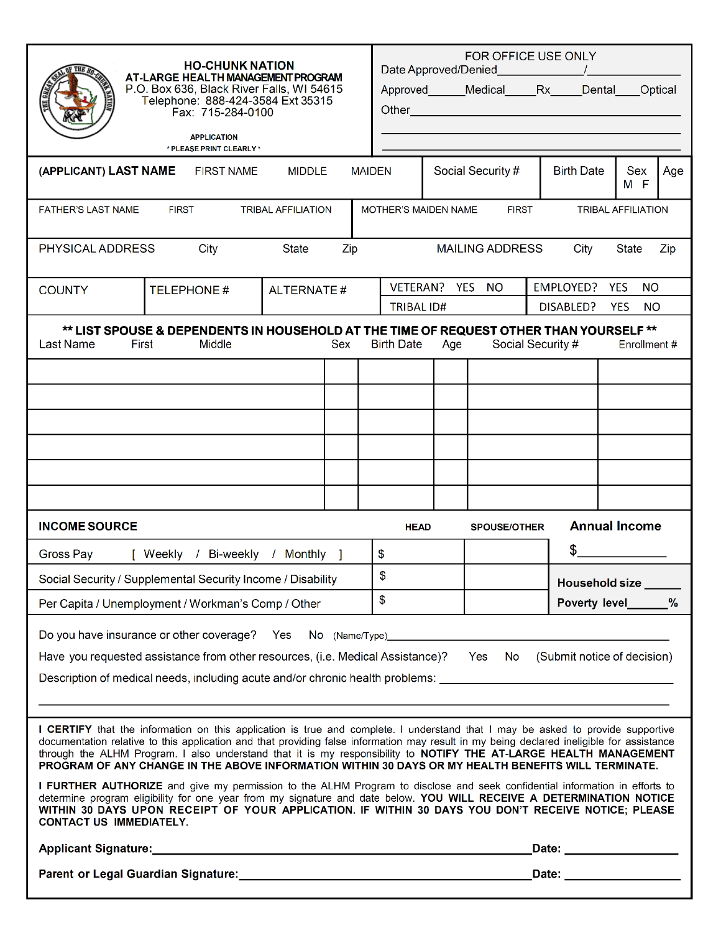| <b>HO-CHUNK NATION</b><br>AT-LARGE HEALTH MANAGEMENT PROGRAM<br>P.O. Box 636, Black River Falls, WI 54615<br>Telephone: 888-424-3584 Ext 35315<br>Fax: 715-284-0100<br><b>APPLICATION</b><br>* PLEASE PRINT CLEARLY *<br><b>MIDDLE</b><br><b>MAIDEN</b>                                                                                                                                                                                                                                                                                                                                                                                                                                                                                                        |                       |                                                                                                                                               |  |                   |                           | FOR OFFICE USE ONLY<br>Approved Medical Rx Dental | <b>Birth Date</b>                    | Sex                     | Optical<br>Age |  |
|----------------------------------------------------------------------------------------------------------------------------------------------------------------------------------------------------------------------------------------------------------------------------------------------------------------------------------------------------------------------------------------------------------------------------------------------------------------------------------------------------------------------------------------------------------------------------------------------------------------------------------------------------------------------------------------------------------------------------------------------------------------|-----------------------|-----------------------------------------------------------------------------------------------------------------------------------------------|--|-------------------|---------------------------|---------------------------------------------------|--------------------------------------|-------------------------|----------------|--|
| (APPLICANT) LAST NAME<br>FIRST NAME                                                                                                                                                                                                                                                                                                                                                                                                                                                                                                                                                                                                                                                                                                                            |                       |                                                                                                                                               |  | Social Security # |                           |                                                   |                                      | M F                     |                |  |
| <b>FATHER'S LAST NAME</b>                                                                                                                                                                                                                                                                                                                                                                                                                                                                                                                                                                                                                                                                                                                                      |                       | MOTHER'S MAIDEN NAME<br><b>FIRST</b><br><b>TRIBAL AFFILIATION</b>                                                                             |  |                   |                           |                                                   |                                      |                         |                |  |
| State<br>PHYSICAL ADDRESS<br>City<br>Zip<br><b>MAILING ADDRESS</b><br>State<br>City<br>Zip                                                                                                                                                                                                                                                                                                                                                                                                                                                                                                                                                                                                                                                                     |                       |                                                                                                                                               |  |                   |                           |                                                   |                                      |                         |                |  |
| <b>COUNTY</b>                                                                                                                                                                                                                                                                                                                                                                                                                                                                                                                                                                                                                                                                                                                                                  | <b>TELEPHONE#</b>     | <b>ALTERNATE#</b>                                                                                                                             |  |                   | VETERAN? YES              | <b>NO</b>                                         | EMPLOYED?                            | <b>YES</b><br><b>NO</b> |                |  |
|                                                                                                                                                                                                                                                                                                                                                                                                                                                                                                                                                                                                                                                                                                                                                                |                       |                                                                                                                                               |  | <b>TRIBAL ID#</b> |                           |                                                   | DISABLED?<br><b>NO</b><br><b>YES</b> |                         |                |  |
| ** LIST SPOUSE & DEPENDENTS IN HOUSEHOLD AT THE TIME OF REQUEST OTHER THAN YOURSELF **<br>Last Name<br>First<br>Middle<br>Social Security #<br>Sex<br><b>Birth Date</b><br>Enrollment#<br>Age                                                                                                                                                                                                                                                                                                                                                                                                                                                                                                                                                                  |                       |                                                                                                                                               |  |                   |                           |                                                   |                                      |                         |                |  |
|                                                                                                                                                                                                                                                                                                                                                                                                                                                                                                                                                                                                                                                                                                                                                                |                       |                                                                                                                                               |  |                   |                           |                                                   |                                      |                         |                |  |
|                                                                                                                                                                                                                                                                                                                                                                                                                                                                                                                                                                                                                                                                                                                                                                |                       |                                                                                                                                               |  |                   |                           |                                                   |                                      |                         |                |  |
|                                                                                                                                                                                                                                                                                                                                                                                                                                                                                                                                                                                                                                                                                                                                                                |                       |                                                                                                                                               |  |                   |                           |                                                   |                                      |                         |                |  |
|                                                                                                                                                                                                                                                                                                                                                                                                                                                                                                                                                                                                                                                                                                                                                                |                       |                                                                                                                                               |  |                   |                           |                                                   |                                      |                         |                |  |
|                                                                                                                                                                                                                                                                                                                                                                                                                                                                                                                                                                                                                                                                                                                                                                |                       |                                                                                                                                               |  |                   |                           |                                                   |                                      |                         |                |  |
|                                                                                                                                                                                                                                                                                                                                                                                                                                                                                                                                                                                                                                                                                                                                                                |                       |                                                                                                                                               |  |                   |                           |                                                   |                                      |                         |                |  |
| <b>INCOME SOURCE</b>                                                                                                                                                                                                                                                                                                                                                                                                                                                                                                                                                                                                                                                                                                                                           |                       |                                                                                                                                               |  | <b>HEAD</b>       |                           | <b>SPOUSE/OTHER</b>                               |                                      | <b>Annual Income</b>    |                |  |
| Gross Pay                                                                                                                                                                                                                                                                                                                                                                                                                                                                                                                                                                                                                                                                                                                                                      | Bi-weekly<br>[ Weekly | Monthly ]                                                                                                                                     |  | \$                |                           |                                                   | \$                                   |                         |                |  |
| Social Security / Supplemental Security Income / Disability                                                                                                                                                                                                                                                                                                                                                                                                                                                                                                                                                                                                                                                                                                    |                       |                                                                                                                                               |  |                   | \$                        |                                                   |                                      | Household size          |                |  |
| Per Capita / Unemployment / Workman's Comp / Other                                                                                                                                                                                                                                                                                                                                                                                                                                                                                                                                                                                                                                                                                                             |                       |                                                                                                                                               |  | \$                |                           |                                                   |                                      | Poverty level_______%   |                |  |
| Do you have insurance or other coverage? Yes<br>Have you requested assistance from other resources, (i.e. Medical Assistance)? Yes<br>(Submit notice of decision)<br>No<br>Description of medical needs, including acute and/or chronic health problems: ________________________________                                                                                                                                                                                                                                                                                                                                                                                                                                                                      |                       |                                                                                                                                               |  |                   |                           |                                                   |                                      |                         |                |  |
|                                                                                                                                                                                                                                                                                                                                                                                                                                                                                                                                                                                                                                                                                                                                                                |                       |                                                                                                                                               |  |                   |                           |                                                   |                                      |                         |                |  |
| I CERTIFY that the information on this application is true and complete. I understand that I may be asked to provide supportive<br>documentation relative to this application and that providing false information may result in my being declared ineligible for assistance<br>through the ALHM Program. I also understand that it is my responsibility to NOTIFY THE AT-LARGE HEALTH MANAGEMENT<br>PROGRAM OF ANY CHANGE IN THE ABOVE INFORMATION WITHIN 30 DAYS OR MY HEALTH BENEFITS WILL TERMINATE.<br>I FURTHER AUTHORIZE and give my permission to the ALHM Program to disclose and seek confidential information in efforts to<br>determine program eligibility for one year from my signature and date below. YOU WILL RECEIVE A DETERMINATION NOTICE |                       |                                                                                                                                               |  |                   |                           |                                                   |                                      |                         |                |  |
| WITHIN 30 DAYS UPON RECEIPT OF YOUR APPLICATION. IF WITHIN 30 DAYS YOU DON'T RECEIVE NOTICE; PLEASE<br><b>CONTACT US IMMEDIATELY.</b>                                                                                                                                                                                                                                                                                                                                                                                                                                                                                                                                                                                                                          |                       |                                                                                                                                               |  |                   |                           |                                                   |                                      |                         |                |  |
|                                                                                                                                                                                                                                                                                                                                                                                                                                                                                                                                                                                                                                                                                                                                                                |                       |                                                                                                                                               |  |                   | _Date: __________________ |                                                   |                                      |                         |                |  |
|                                                                                                                                                                                                                                                                                                                                                                                                                                                                                                                                                                                                                                                                                                                                                                |                       | _Date: ___________________<br>Parent or Legal Guardian Signature: Manual Communication Communication Communication Communication Communicatio |  |                   |                           |                                                   |                                      |                         |                |  |